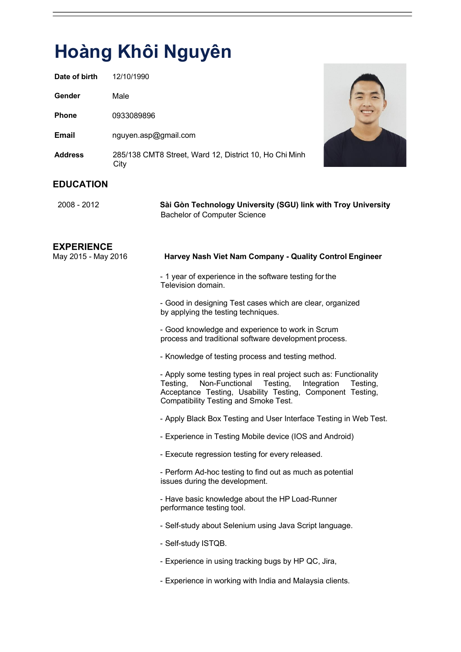# **Hoàng Khôi Nguyên**

| Date of birth  | 12/10/1990                                                     |
|----------------|----------------------------------------------------------------|
| <b>Gender</b>  | Male                                                           |
| <b>Phone</b>   | 0933089896                                                     |
| Email          | nguyen.asp@gmail.com                                           |
| <b>Address</b> | 285/138 CMT8 Street, Ward 12, District 10, Ho Chi Minh<br>City |



## **EDUCATION**

| 2008 - 2012 | Sài Gòn Technology University (SGU) link with Troy University |
|-------------|---------------------------------------------------------------|
|             | <b>Bachelor of Computer Science</b>                           |

# **EXPERIENCE** May 2015 - May 2016 **Harvey Nash Viet Nam Company - Quality Control Engineer** - 1 year of experience in the software testing for the Television domain. - Good in designing Test cases which are clear, organized by applying the testing techniques. - Good knowledge and experience to work in Scrum process and traditional software development process. - Knowledge of testing process and testing method. - Apply some testing types in real project such as: Functionality Testing, Non-Functional Testing, Integration Testing, Acceptance Testing, Usability Testing, Component Testing, Compatibility Testing and Smoke Test. - Apply Black Box Testing and User Interface Testing in Web Test. - Experience in Testing Mobile device (IOS and Android) - Execute regression testing for every released. - Perform Ad-hoc testing to find out as much as potential issues during the development. - Have basic knowledge about the HP Load-Runner performance testing tool. - Self-study about Selenium using Java Script language. - Self-study ISTQB. - Experience in using tracking bugs by HP QC, Jira, - Experience in working with India and Malaysia clients.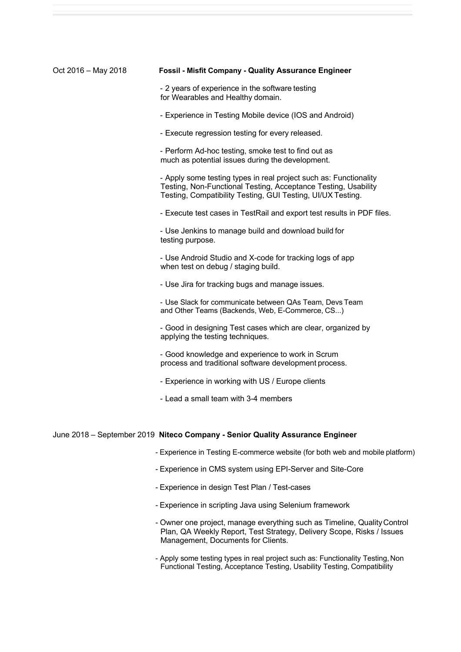| Oct 2016 - May 2018 | <b>Fossil - Misfit Company - Quality Assurance Engineer</b>                                                                                                                                        |
|---------------------|----------------------------------------------------------------------------------------------------------------------------------------------------------------------------------------------------|
|                     | - 2 years of experience in the software testing<br>for Wearables and Healthy domain.                                                                                                               |
|                     | - Experience in Testing Mobile device (IOS and Android)                                                                                                                                            |
|                     | - Execute regression testing for every released.                                                                                                                                                   |
|                     | - Perform Ad-hoc testing, smoke test to find out as<br>much as potential issues during the development.                                                                                            |
|                     | - Apply some testing types in real project such as: Functionality<br>Testing, Non-Functional Testing, Acceptance Testing, Usability<br>Testing, Compatibility Testing, GUI Testing, UI/UX Testing. |
|                     | - Execute test cases in TestRail and export test results in PDF files.                                                                                                                             |
|                     | - Use Jenkins to manage build and download build for<br>testing purpose.                                                                                                                           |
|                     | - Use Android Studio and X-code for tracking logs of app<br>when test on debug / staging build.                                                                                                    |
|                     | - Use Jira for tracking bugs and manage issues.                                                                                                                                                    |
|                     | - Use Slack for communicate between QAs Team, Devs Team<br>and Other Teams (Backends, Web, E-Commerce, CS)                                                                                         |
|                     | - Good in designing Test cases which are clear, organized by<br>applying the testing techniques.                                                                                                   |
|                     | - Good knowledge and experience to work in Scrum<br>process and traditional software development process.                                                                                          |
|                     | - Experience in working with US / Europe clients                                                                                                                                                   |
|                     | - Lead a small team with 3-4 members                                                                                                                                                               |
|                     |                                                                                                                                                                                                    |
|                     | June 2018 - September 2019 Niteco Company - Senior Quality Assurance Engineer                                                                                                                      |

- Experience in Testing E-commerce website (for both web and mobile platform)
- Experience in CMS system using EPI-Server and Site-Core
- Experience in design Test Plan / Test-cases
- Experience in scripting Java using Selenium framework
- Owner one project, manage everything such as Timeline, QualityControl Plan, QA Weekly Report, Test Strategy, Delivery Scope, Risks / Issues Management, Documents for Clients.
- Apply some testing types in real project such as: Functionality Testing, Non Functional Testing, Acceptance Testing, Usability Testing, Compatibility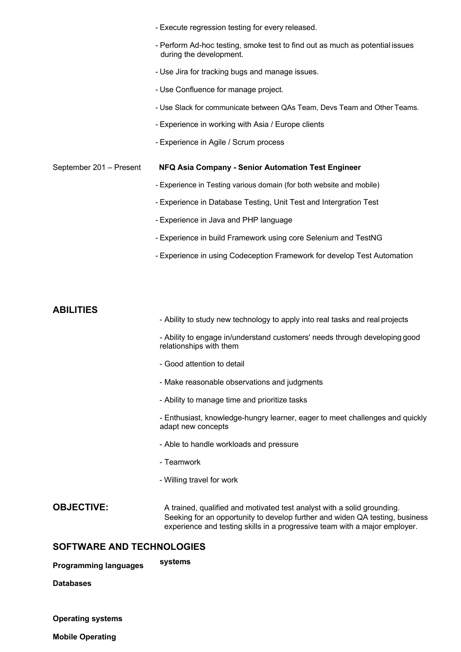- Execute regression testing for every released.
- Perform Ad-hoc testing, smoke test to find out as much as potential issues during the development.
- Use Jira for tracking bugs and manage issues.
- Use Confluence for manage project.
- Use Slack for communicate between QAs Team, Devs Team and Other Teams.
- Experience in working with Asia / Europe clients
- Experience in Agile / Scrum process

#### September 201 – Present **NFQ Asia Company - Senior Automation Test Engineer**

- Experience in Testing various domain (for both website and mobile)
- Experience in Database Testing, Unit Test and Intergration Test
- Experience in Java and PHP language
- Experience in build Framework using core Selenium and TestNG
- Experience in using Codeception Framework for develop Test Automation

#### **ABILITIES**

- Ability to study new technology to apply into real tasks and real projects

- Ability to engage in/understand customers' needs through developing good relationships with them

- Good attention to detail
- Make reasonable observations and judgments
- Ability to manage time and prioritize tasks

- Enthusiast, knowledge-hungry learner, eager to meet challenges and quickly adapt new concepts

- Able to handle workloads and pressure
- Teamwork
- Willing travel for work
- **OBJECTIVE:** A trained, qualified and motivated test analyst with a solid grounding. Seeking for an opportunity to develop further and widen QA testing, business experience and testing skills in a progressive team with a major employer.

#### **SOFTWARE AND TECHNOLOGIES**

**Programming languages systems**

**Databases**

#### **Operating systems**

**Mobile Operating**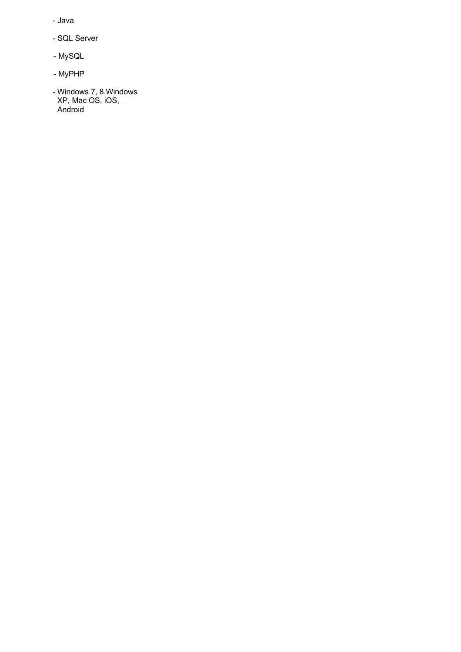- Java
- SQL Server
- MySQL
- MyPHP
- Windows 7, 8.Windows XP, Mac OS, iOS, Android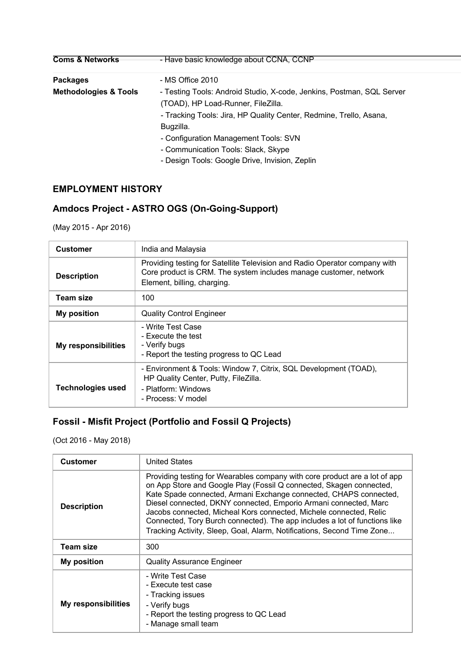| <b>Coms &amp; Networks</b>       | - Have basic knowledge about CCNA, CCNP                               |
|----------------------------------|-----------------------------------------------------------------------|
| <b>Packages</b>                  | - MS Office 2010                                                      |
| <b>Methodologies &amp; Tools</b> | - Testing Tools: Android Studio, X-code, Jenkins, Postman, SQL Server |
|                                  | (TOAD), HP Load-Runner, FileZilla.                                    |
|                                  | - Tracking Tools: Jira, HP Quality Center, Redmine, Trello, Asana,    |
|                                  | Bugzilla.                                                             |
|                                  | - Configuration Management Tools: SVN                                 |
|                                  | - Communication Tools: Slack, Skype                                   |
|                                  | - Design Tools: Google Drive, Invision, Zeplin                        |

### **EMPLOYMENT HISTORY**

## **Amdocs Project - ASTRO OGS (On-Going-Support)**

(May 2015 - Apr 2016)

| <b>Customer</b>            | India and Malaysia                                                                                                                                                             |
|----------------------------|--------------------------------------------------------------------------------------------------------------------------------------------------------------------------------|
| <b>Description</b>         | Providing testing for Satellite Television and Radio Operator company with<br>Core product is CRM. The system includes manage customer, network<br>Element, billing, charging. |
| <b>Team size</b>           | 100                                                                                                                                                                            |
| <b>My position</b>         | <b>Quality Control Engineer</b>                                                                                                                                                |
| <b>My responsibilities</b> | - Write Test Case<br>- Execute the test<br>- Verify bugs<br>- Report the testing progress to QC Lead                                                                           |
| <b>Technologies used</b>   | - Environment & Tools: Window 7, Citrix, SQL Development (TOAD),<br>HP Quality Center, Putty, FileZilla.<br>- Platform: Windows<br>- Process: V model                          |

## **Fossil - Misfit Project (Portfolio and Fossil Q Projects)**

(Oct 2016 - May 2018)

| <b>Customer</b>            | <b>United States</b>                                                                                                                                                                                                                                                                                                                                                                                                                                                                                                     |
|----------------------------|--------------------------------------------------------------------------------------------------------------------------------------------------------------------------------------------------------------------------------------------------------------------------------------------------------------------------------------------------------------------------------------------------------------------------------------------------------------------------------------------------------------------------|
| <b>Description</b>         | Providing testing for Wearables company with core product are a lot of app<br>on App Store and Google Play (Fossil Q connected, Skagen connected,<br>Kate Spade connected, Armani Exchange connected, CHAPS connected,<br>Diesel connected, DKNY connected, Emporio Armani connected, Marc<br>Jacobs connected, Micheal Kors connected, Michele connected, Relic<br>Connected, Tory Burch connected). The app includes a lot of functions like<br>Tracking Activity, Sleep, Goal, Alarm, Notifications, Second Time Zone |
| <b>Team size</b>           | 300                                                                                                                                                                                                                                                                                                                                                                                                                                                                                                                      |
| <b>My position</b>         | <b>Quality Assurance Engineer</b>                                                                                                                                                                                                                                                                                                                                                                                                                                                                                        |
| <b>My responsibilities</b> | - Write Test Case<br>- Execute test case<br>- Tracking issues<br>- Verify bugs<br>- Report the testing progress to QC Lead<br>- Manage small team                                                                                                                                                                                                                                                                                                                                                                        |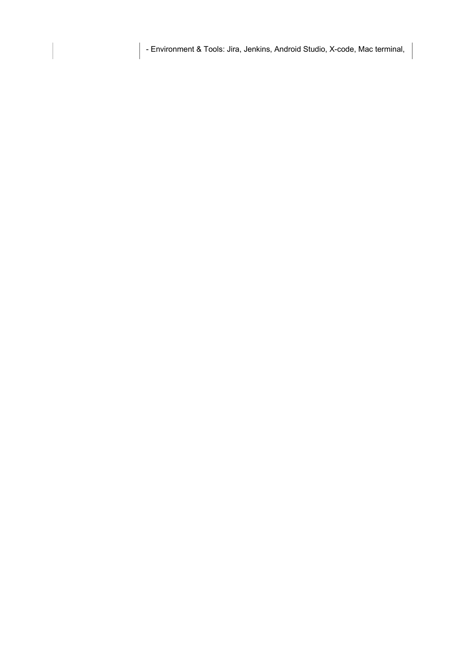- Environment & Tools: Jira, Jenkins, Android Studio, X-code, Mac terminal,

I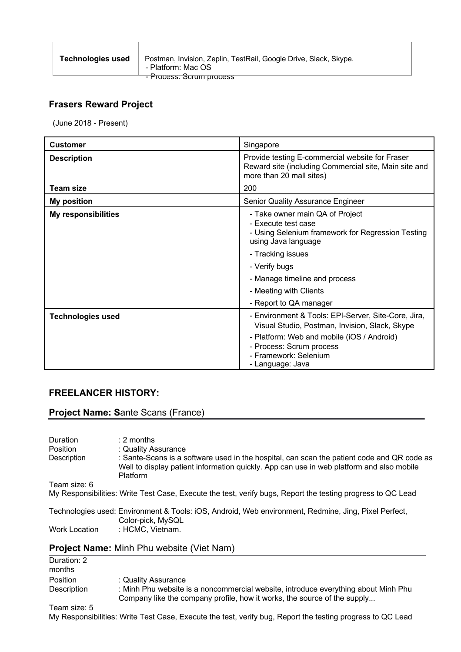#### **Frasers Reward Project**

(June 2018 - Present)

| <b>Customer</b>            | Singapore                                                                                                                                                                                                                                                     |
|----------------------------|---------------------------------------------------------------------------------------------------------------------------------------------------------------------------------------------------------------------------------------------------------------|
| <b>Description</b>         | Provide testing E-commercial website for Fraser<br>Reward site (including Commercial site, Main site and<br>more than 20 mall sites)                                                                                                                          |
| <b>Team size</b>           | 200                                                                                                                                                                                                                                                           |
| <b>My position</b>         | <b>Senior Quality Assurance Engineer</b>                                                                                                                                                                                                                      |
| <b>My responsibilities</b> | - Take owner main QA of Project<br>- Execute test case<br>- Using Selenium framework for Regression Testing<br>using Java language<br>- Tracking issues<br>- Verify bugs<br>- Manage timeline and process<br>- Meeting with Clients<br>- Report to QA manager |
| <b>Technologies used</b>   | - Environment & Tools: EPI-Server, Site-Core, Jira,<br>Visual Studio, Postman, Invision, Slack, Skype<br>- Platform: Web and mobile (iOS / Android)<br>- Process: Scrum process<br>- Framework: Selenium<br>- Language: Java                                  |

#### **FREELANCER HISTORY:**

**Project Name: S**ante Scans (France)

| <b>Duration</b> | $: 2$ months                                                                                                                                                                                              |
|-----------------|-----------------------------------------------------------------------------------------------------------------------------------------------------------------------------------------------------------|
| <b>Position</b> | : Quality Assurance                                                                                                                                                                                       |
| Description     | : Sante-Scans is a software used in the hospital, can scan the patient code and QR code as<br>Well to display patient information quickly. App can use in web platform and also mobile<br><b>Platform</b> |
| Team size: 6    |                                                                                                                                                                                                           |
|                 | My Responsibilities: Write Test Case, Execute the test, verify bugs, Report the testing progress to QC Lead                                                                                               |
|                 | Technologies used: Environment & Tools: iOS, Android, Web environment, Redmine, Jing, Pixel Perfect,<br>Color-pick, MySQL                                                                                 |
| Work Location   | : HCMC, Vietnam.                                                                                                                                                                                          |
|                 | <b>Project Name:</b> Minh Phu website (Viet Nam)                                                                                                                                                          |

| Duration: 2 |                                                                                                                                                                |
|-------------|----------------------------------------------------------------------------------------------------------------------------------------------------------------|
| months      |                                                                                                                                                                |
| Position    | : Quality Assurance                                                                                                                                            |
| Description | : Minh Phu website is a noncommercial website, introduce everything about Minh Phu<br>Company like the company profile, how it works, the source of the supply |
|             |                                                                                                                                                                |

Team size: 5 My Responsibilities: Write Test Case, Execute the test, verify bug, Report the testing progress to QC Lead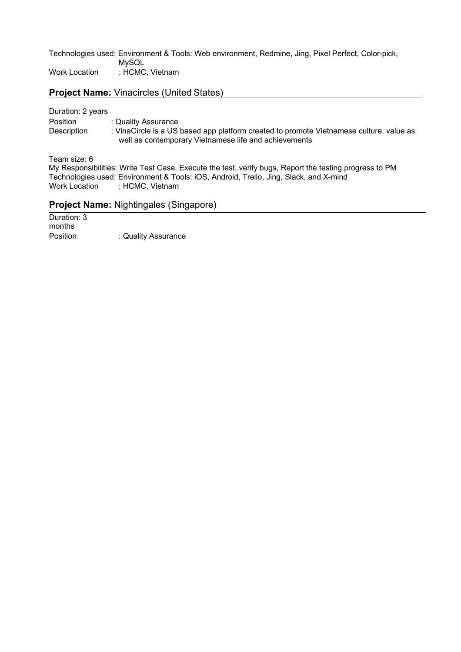Technologies used: Environment & Tools: Web environment, Redmine, Jing, Pixel Perfect, Color-pick, MySQL Work Location : HCMC, Vietnam

#### **Project Name:** Vinacircles (United States)

#### Duration: 2 years

| <b>Position</b> | : Quality Assurance                                                                     |
|-----------------|-----------------------------------------------------------------------------------------|
| Description     | : VinaCircle is a US based app platform created to promote Vietnamese culture, value as |
|                 | well as contemporary Vietnamese life and achievements                                   |

Team size: 6

My Responsibilities: Write Test Case, Execute the test, verify bugs, Report the testing progress to PM Technologies used: Environment & Tools: iOS, Android, Trello, Jing, Slack, and X-mind Work Location : HCMC, Vietnam

#### **Project Name:** Nightingales (Singapore)

Duration: 3 months Position : Quality Assurance